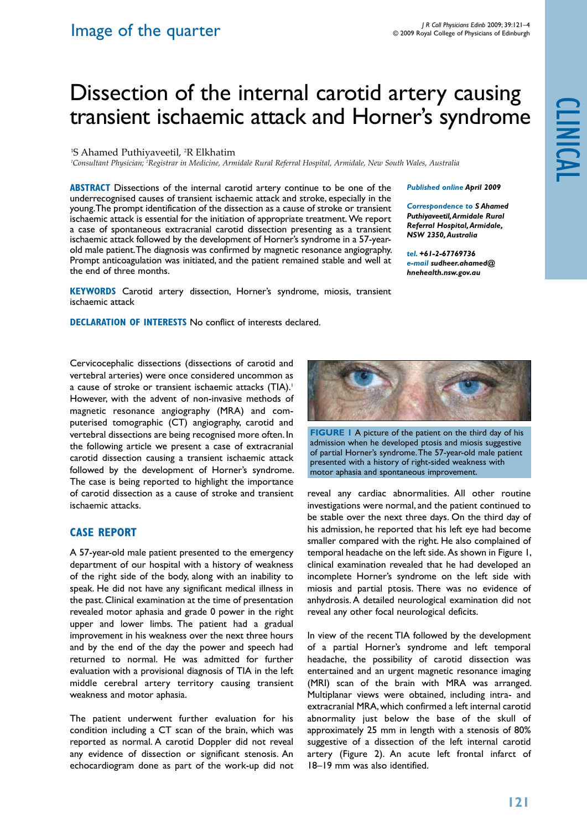*Published online April 2009* 

*Correspondence to S Ahamed Puthiyaveetil, Armidale Rural Referral Hospital, Armidale, NSW 2350, Australia tel. +61-2-67769736 e-mail sudheer.ahamed@ hnehealth.nsw.gov.au*

# Dissection of the internal carotid artery causing transient ischaemic attack and Horner's syndrome

<sup>1</sup>S Ahamed Puthiyaveetil, <sup>2</sup>R Elkhatim

*1 Consultant Physician; 2 Registrar in Medicine, Armidale Rural Referral Hospital, Armidale, New South Wales, Australia*

**ABSTRACT** Dissections of the internal carotid artery continue to be one of the underrecognised causes of transient ischaemic attack and stroke, especially in the young. The prompt identification of the dissection as a cause of stroke or transient ischaemic attack is essential for the initiation of appropriate treatment. We report a case of spontaneous extracranial carotid dissection presenting as a transient ischaemic attack followed by the development of Horner's syndrome in a 57-yearold male patient. The diagnosis was confirmed by magnetic resonance angiography. Prompt anticoagulation was initiated, and the patient remained stable and well at the end of three months.

**KEYWORDS** Carotid artery dissection, Horner's syndrome, miosis, transient ischaemic attack

**Declaration of Interests** No conflict of interests declared.

Cervicocephalic dissections (dissections of carotid and vertebral arteries) were once considered uncommon as a cause of stroke or transient ischaemic attacks (TIA).<sup>1</sup> However, with the advent of non-invasive methods of magnetic resonance angiography (MRA) and computerised tomographic (CT) angiography, carotid and vertebral dissections are being recognised more often. In the following article we present a case of extracranial carotid dissection causing a transient ischaemic attack followed by the development of Horner's syndrome. The case is being reported to highlight the importance of carotid dissection as a cause of stroke and transient ischaemic attacks.

## **Case report**

A 57-year-old male patient presented to the emergency department of our hospital with a history of weakness of the right side of the body, along with an inability to speak. He did not have any significant medical illness in the past. Clinical examination at the time of presentation revealed motor aphasia and grade 0 power in the right upper and lower limbs. The patient had a gradual improvement in his weakness over the next three hours and by the end of the day the power and speech had returned to normal. He was admitted for further evaluation with a provisional diagnosis of TIA in the left middle cerebral artery territory causing transient weakness and motor aphasia.

The patient underwent further evaluation for his condition including a CT scan of the brain, which was reported as normal. A carotid Doppler did not reveal any evidence of dissection or significant stenosis. An echocardiogram done as part of the work-up did not



**FIGURE 1** A picture of the patient on the third day of his admission when he developed ptosis and miosis suggestive of partial Horner's syndrome. The 57-year-old male patient presented with a history of right-sided weakness with motor aphasia and spontaneous improvement.

reveal any cardiac abnormalities. All other routine investigations were normal, and the patient continued to be stable over the next three days. On the third day of his admission, he reported that his left eye had become smaller compared with the right. He also complained of temporal headache on the left side. As shown in Figure 1, clinical examination revealed that he had developed an incomplete Horner's syndrome on the left side with miosis and partial ptosis. There was no evidence of anhydrosis. A detailed neurological examination did not reveal any other focal neurological deficits.

In view of the recent TIA followed by the development of a partial Horner's syndrome and left temporal headache, the possibility of carotid dissection was entertained and an urgent magnetic resonance imaging (MRI) scan of the brain with MRA was arranged. Multiplanar views were obtained, including intra- and extracranial MRA, which confirmed a left internal carotid abnormality just below the base of the skull of approximately 25 mm in length with a stenosis of 80% suggestive of a dissection of the left internal carotid artery (Figure 2). An acute left frontal infarct of 18–19 mm was also identified.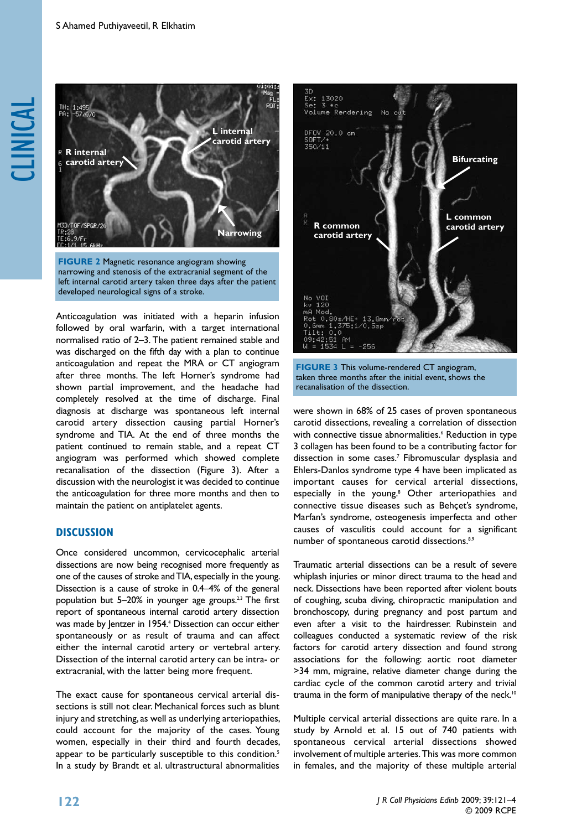



Anticoagulation was initiated with a heparin infusion followed by oral warfarin, with a target international normalised ratio of 2–3. The patient remained stable and was discharged on the fifth day with a plan to continue anticoagulation and repeat the MRA or CT angiogram after three months. The left Horner's syndrome had shown partial improvement, and the headache had completely resolved at the time of discharge. Final diagnosis at discharge was spontaneous left internal carotid artery dissection causing partial Horner's syndrome and TIA. At the end of three months the patient continued to remain stable, and a repeat CT angiogram was performed which showed complete recanalisation of the dissection (Figure 3). After a discussion with the neurologist it was decided to continue the anticoagulation for three more months and then to maintain the patient on antiplatelet agents.

### **DISCUSSION**

Once considered uncommon, cervicocephalic arterial dissections are now being recognised more frequently as one of the causes of stroke and TIA, especially in the young. Dissection is a cause of stroke in 0.4–4% of the general population but  $5-20\%$  in younger age groups.<sup>2,3</sup> The first report of spontaneous internal carotid artery dissection was made by Jentzer in 1954.4 Dissection can occur either spontaneously or as result of trauma and can affect either the internal carotid artery or vertebral artery. Dissection of the internal carotid artery can be intra- or extracranial, with the latter being more frequent.

The exact cause for spontaneous cervical arterial dissections is still not clear. Mechanical forces such as blunt injury and stretching, as well as underlying arteriopathies, could account for the majority of the cases. Young women, especially in their third and fourth decades, appear to be particularly susceptible to this condition.<sup>5</sup> In a study by Brandt et al. ultrastructural abnormalities



**Figure 3** This volume-rendered CT angiogram, taken three months after the initial event, shows the recanalisation of the dissection.

were shown in 68% of 25 cases of proven spontaneous carotid dissections, revealing a correlation of dissection with connective tissue abnormalities.<sup>6</sup> Reduction in type 3 collagen has been found to be a contributing factor for dissection in some cases.7 Fibromuscular dysplasia and Ehlers-Danlos syndrome type 4 have been implicated as important causes for cervical arterial dissections, especially in the young.<sup>8</sup> Other arteriopathies and connective tissue diseases such as Behçet's syndrome, Marfan's syndrome, osteogenesis imperfecta and other causes of vasculitis could account for a significant number of spontaneous carotid dissections.<sup>8,9</sup>

Traumatic arterial dissections can be a result of severe whiplash injuries or minor direct trauma to the head and neck. Dissections have been reported after violent bouts of coughing, scuba diving, chiropractic manipulation and bronchoscopy, during pregnancy and post partum and even after a visit to the hairdresser. Rubinstein and colleagues conducted a systematic review of the risk factors for carotid artery dissection and found strong associations for the following: aortic root diameter >34 mm, migraine, relative diameter change during the cardiac cycle of the common carotid artery and trivial trauma in the form of manipulative therapy of the neck.<sup>10</sup>

Multiple cervical arterial dissections are quite rare. In a study by Arnold et al. 15 out of 740 patients with spontaneous cervical arterial dissections showed involvement of multiple arteries. This was more common in females, and the majority of these multiple arterial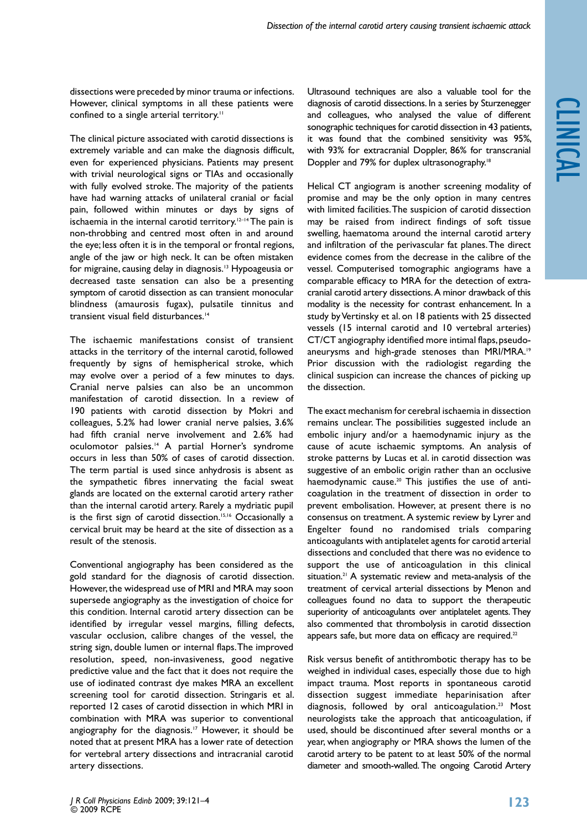dissections were preceded by minor trauma or infections. However, clinical symptoms in all these patients were confined to a single arterial territory.<sup>11</sup>

The clinical picture associated with carotid dissections is extremely variable and can make the diagnosis difficult, even for experienced physicians. Patients may present with trivial neurological signs or TIAs and occasionally with fully evolved stroke. The majority of the patients have had warning attacks of unilateral cranial or facial pain, followed within minutes or days by signs of ischaemia in the internal carotid territory.<sup>12-14</sup> The pain is non-throbbing and centred most often in and around the eye; less often it is in the temporal or frontal regions, angle of the jaw or high neck. It can be often mistaken for migraine, causing delay in diagnosis.13 Hypoageusia or decreased taste sensation can also be a presenting symptom of carotid dissection as can transient monocular blindness (amaurosis fugax), pulsatile tinnitus and transient visual field disturbances.14

The ischaemic manifestations consist of transient attacks in the territory of the internal carotid, followed frequently by signs of hemispherical stroke, which may evolve over a period of a few minutes to days. Cranial nerve palsies can also be an uncommon manifestation of carotid dissection. In a review of 190 patients with carotid dissection by Mokri and colleagues, 5.2% had lower cranial nerve palsies, 3.6% had fifth cranial nerve involvement and 2.6% had oculomotor palsies.<sup>14</sup> A partial Horner's syndrome occurs in less than 50% of cases of carotid dissection. The term partial is used since anhydrosis is absent as the sympathetic fibres innervating the facial sweat glands are located on the external carotid artery rather than the internal carotid artery. Rarely a mydriatic pupil is the first sign of carotid dissection.<sup>15,16</sup> Occasionally a cervical bruit may be heard at the site of dissection as a result of the stenosis.

Conventional angiography has been considered as the gold standard for the diagnosis of carotid dissection. However, the widespread use of MRI and MRA may soon supersede angiography as the investigation of choice for this condition. Internal carotid artery dissection can be identified by irregular vessel margins, filling defects, vascular occlusion, calibre changes of the vessel, the string sign, double lumen or internal flaps. The improved resolution, speed, non-invasiveness, good negative predictive value and the fact that it does not require the use of iodinated contrast dye makes MRA an excellent screening tool for carotid dissection. Stringaris et al. reported 12 cases of carotid dissection in which MRI in combination with MRA was superior to conventional angiography for the diagnosis.<sup>17</sup> However, it should be noted that at present MRA has a lower rate of detection for vertebral artery dissections and intracranial carotid artery dissections.

Ultrasound techniques are also a valuable tool for the diagnosis of carotid dissections. In a series by Sturzenegger and colleagues, who analysed the value of different sonographic techniques for carotid dissection in 43 patients, it was found that the combined sensitivity was 95%, with 93% for extracranial Doppler, 86% for transcranial Doppler and 79% for duplex ultrasonography.18

Helical CT angiogram is another screening modality of promise and may be the only option in many centres with limited facilities. The suspicion of carotid dissection may be raised from indirect findings of soft tissue swelling, haematoma around the internal carotid artery and infiltration of the perivascular fat planes. The direct evidence comes from the decrease in the calibre of the vessel. Computerised tomographic angiograms have a comparable efficacy to MRA for the detection of extracranial carotid artery dissections. A minor drawback of this modality is the necessity for contrast enhancement. In a study by Vertinsky et al. on 18 patients with 25 dissected vessels (15 internal carotid and 10 vertebral arteries) CT/CT angiography identified more intimal flaps, pseudoaneurysms and high-grade stenoses than MRI/MRA.19 Prior discussion with the radiologist regarding the clinical suspicion can increase the chances of picking up the dissection.

The exact mechanism for cerebral ischaemia in dissection remains unclear. The possibilities suggested include an embolic injury and/or a haemodynamic injury as the cause of acute ischaemic symptoms. An analysis of stroke patterns by Lucas et al. in carotid dissection was suggestive of an embolic origin rather than an occlusive haemodynamic cause.<sup>20</sup> This justifies the use of anticoagulation in the treatment of dissection in order to prevent embolisation. However, at present there is no consensus on treatment. A systemic review by Lyrer and Engelter found no randomised trials comparing anticoagulants with antiplatelet agents for carotid arterial dissections and concluded that there was no evidence to support the use of anticoagulation in this clinical situation.<sup>21</sup> A systematic review and meta-analysis of the treatment of cervical arterial dissections by Menon and colleagues found no data to support the therapeutic superiority of anticoagulants over antiplatelet agents. They also commented that thrombolysis in carotid dissection appears safe, but more data on efficacy are required.<sup>22</sup>

Risk versus benefit of antithrombotic therapy has to be weighed in individual cases, especially those due to high impact trauma. Most reports in spontaneous carotid dissection suggest immediate heparinisation after diagnosis, followed by oral anticoagulation.<sup>23</sup> Most neurologists take the approach that anticoagulation, if used, should be discontinued after several months or a year, when angiography or MRA shows the lumen of the carotid artery to be patent to at least 50% of the normal diameter and smooth-walled. The ongoing Carotid Artery